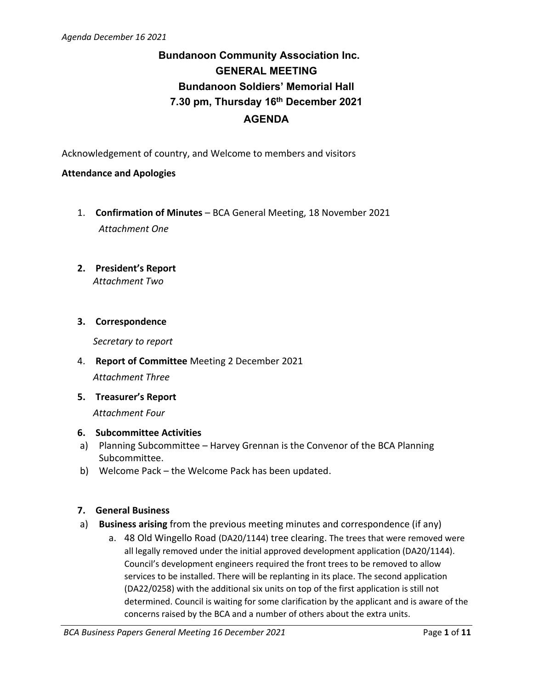# **Bundanoon Community Association Inc. GENERAL MEETING Bundanoon Soldiers' Memorial Hall 7.30 pm, Thursday 16th December 2021 AGENDA**

Acknowledgement of country, and Welcome to members and visitors

# **Attendance and Apologies**

- 1. **Confirmation of Minutes** BCA General Meeting, 18 November 2021 *Attachment One*
- **2. President's Report** *Attachment Two*

# **3. Correspondence**

*Secretary to report*

- 4. **Report of Committee** Meeting 2 December 2021 *Attachment Three*
- **5. Treasurer's Report**

*Attachment Four*

# **6. Subcommittee Activities**

- a) Planning Subcommittee Harvey Grennan is the Convenor of the BCA Planning Subcommittee.
- b) Welcome Pack the Welcome Pack has been updated.

# **7. General Business**

- a) **Business arising** from the previous meeting minutes and correspondence (if any)
	- a. 48 Old Wingello Road (DA20/1144) tree clearing. The trees that were removed were all legally removed under the initial approved development application (DA20/1144). Council's development engineers required the front trees to be removed to allow services to be installed. There will be replanting in its place. The second application (DA22/0258) with the additional six units on top of the first application is still not determined. Council is waiting for some clarification by the applicant and is aware of the concerns raised by the BCA and a number of others about the extra units.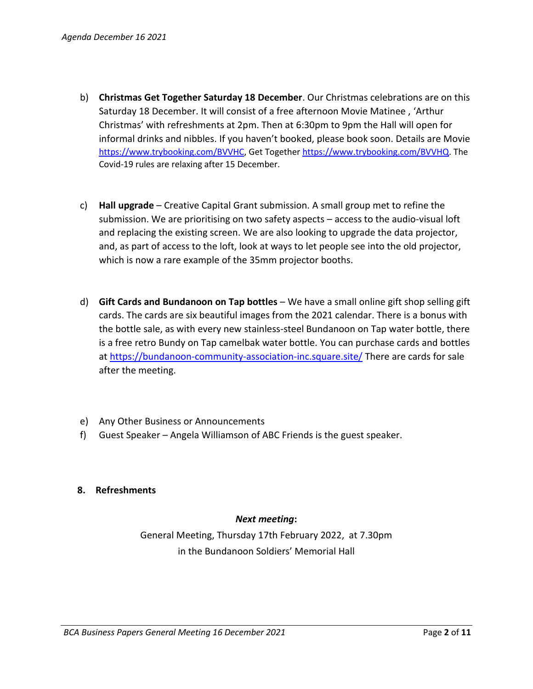- b) **Christmas Get Together Saturday 18 December**. Our Christmas celebrations are on this Saturday 18 December. It will consist of a free afternoon Movie Matinee , 'Arthur Christmas' with refreshments at 2pm. Then at 6:30pm to 9pm the Hall will open for informal drinks and nibbles. If you haven't booked, please book soon. Details are Movie [https://www.trybooking.com/BVVHC,](https://www.trybooking.com/BVVHC) Get Togethe[r https://www.trybooking.com/BVVHQ.](https://www.trybooking.com/BVVHQ) The Covid-19 rules are relaxing after 15 December.
- c) **Hall upgrade** Creative Capital Grant submission. A small group met to refine the submission. We are prioritising on two safety aspects – access to the audio-visual loft and replacing the existing screen. We are also looking to upgrade the data projector, and, as part of access to the loft, look at ways to let people see into the old projector, which is now a rare example of the 35mm projector booths.
- d) **Gift Cards and Bundanoon on Tap bottles** We have a small online gift shop selling gift cards. The cards are six beautiful images from the 2021 calendar. There is a bonus with the bottle sale, as with every new stainless-steel Bundanoon on Tap water bottle, there is a free retro Bundy on Tap camelbak water bottle. You can purchase cards and bottles at<https://bundanoon-community-association-inc.square.site/> There are cards for sale after the meeting.
- e) Any Other Business or Announcements
- f) Guest Speaker Angela Williamson of ABC Friends is the guest speaker.

# **8. Refreshments**

# *Next meeting***:**

General Meeting, Thursday 17th February 2022, at 7.30pm in the Bundanoon Soldiers' Memorial Hall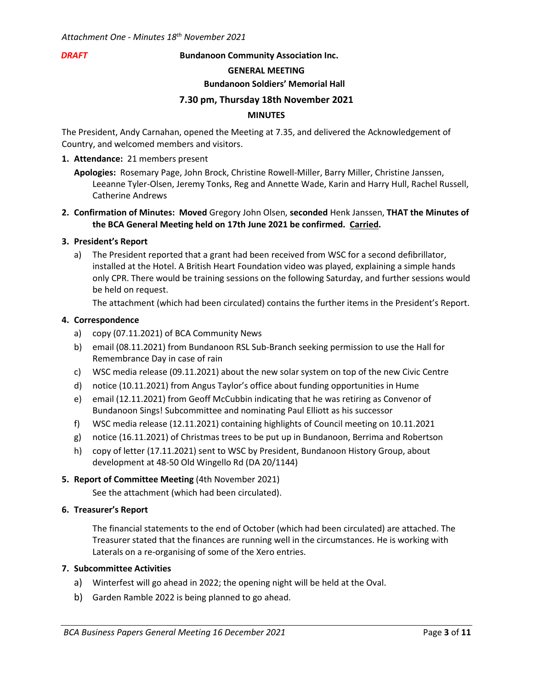#### *DRAFT* **Bundanoon Community Association Inc.**

#### **GENERAL MEETING**

#### **Bundanoon Soldiers' Memorial Hall**

#### **7.30 pm, Thursday 18th November 2021**

#### **MINUTES**

The President, Andy Carnahan, opened the Meeting at 7.35, and delivered the Acknowledgement of Country, and welcomed members and visitors.

#### **1. Attendance:** 21 members present

- **Apologies:** Rosemary Page, John Brock, Christine Rowell-Miller, Barry Miller, Christine Janssen, Leeanne Tyler-Olsen, Jeremy Tonks, Reg and Annette Wade, Karin and Harry Hull, Rachel Russell, Catherine Andrews
- **2. Confirmation of Minutes: Moved** Gregory John Olsen, **seconded** Henk Janssen, **THAT the Minutes of the BCA General Meeting held on 17th June 2021 be confirmed. Carried.**

#### **3. President's Report**

a) The President reported that a grant had been received from WSC for a second defibrillator, installed at the Hotel. A British Heart Foundation video was played, explaining a simple hands only CPR. There would be training sessions on the following Saturday, and further sessions would be held on request.

The attachment (which had been circulated) contains the further items in the President's Report.

#### **4. Correspondence**

- a) copy (07.11.2021) of BCA Community News
- b) email (08.11.2021) from Bundanoon RSL Sub-Branch seeking permission to use the Hall for Remembrance Day in case of rain
- c) WSC media release (09.11.2021) about the new solar system on top of the new Civic Centre
- d) notice (10.11.2021) from Angus Taylor's office about funding opportunities in Hume
- e) email (12.11.2021) from Geoff McCubbin indicating that he was retiring as Convenor of Bundanoon Sings! Subcommittee and nominating Paul Elliott as his successor
- f) WSC media release (12.11.2021) containing highlights of Council meeting on 10.11.2021
- g) notice (16.11.2021) of Christmas trees to be put up in Bundanoon, Berrima and Robertson
- h) copy of letter (17.11.2021) sent to WSC by President, Bundanoon History Group, about development at 48-50 Old Wingello Rd (DA 20/1144)

#### **5. Report of Committee Meeting** (4th November 2021)

See the attachment (which had been circulated).

#### **6. Treasurer's Report**

The financial statements to the end of October (which had been circulated) are attached. The Treasurer stated that the finances are running well in the circumstances. He is working with Laterals on a re-organising of some of the Xero entries.

# **7. Subcommittee Activities**

- a) Winterfest will go ahead in 2022; the opening night will be held at the Oval.
- b) Garden Ramble 2022 is being planned to go ahead.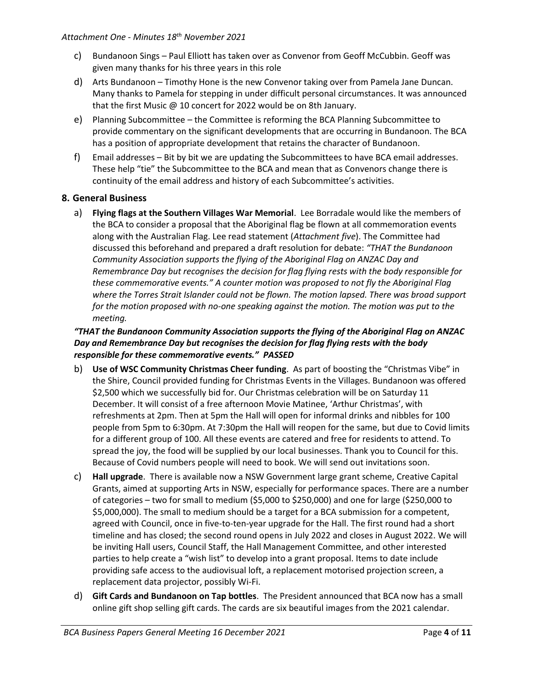- c) Bundanoon Sings Paul Elliott has taken over as Convenor from Geoff McCubbin. Geoff was given many thanks for his three years in this role
- d) Arts Bundanoon Timothy Hone is the new Convenor taking over from Pamela Jane Duncan. Many thanks to Pamela for stepping in under difficult personal circumstances. It was announced that the first Music @ 10 concert for 2022 would be on 8th January.
- e) Planning Subcommittee the Committee is reforming the BCA Planning Subcommittee to provide commentary on the significant developments that are occurring in Bundanoon. The BCA has a position of appropriate development that retains the character of Bundanoon.
- f) Email addresses Bit by bit we are updating the Subcommittees to have BCA email addresses. These help "tie" the Subcommittee to the BCA and mean that as Convenors change there is continuity of the email address and history of each Subcommittee's activities.

# **8. General Business**

a) **Flying flags at the Southern Villages War Memorial**. Lee Borradale would like the members of the BCA to consider a proposal that the Aboriginal flag be flown at all commemoration events along with the Australian Flag. Lee read statement (*Attachment five*). The Committee had discussed this beforehand and prepared a draft resolution for debate: *"THAT the Bundanoon Community Association supports the flying of the Aboriginal Flag on ANZAC Day and Remembrance Day but recognises the decision for flag flying rests with the body responsible for these commemorative events." A counter motion was proposed to not fly the Aboriginal Flag where the Torres Strait Islander could not be flown. The motion lapsed. There was broad support for the motion proposed with no-one speaking against the motion. The motion was put to the meeting.*

# *"THAT the Bundanoon Community Association supports the flying of the Aboriginal Flag on ANZAC Day and Remembrance Day but recognises the decision for flag flying rests with the body responsible for these commemorative events." PASSED*

- b) **Use of WSC Community Christmas Cheer funding**. As part of boosting the "Christmas Vibe" in the Shire, Council provided funding for Christmas Events in the Villages. Bundanoon was offered \$2,500 which we successfully bid for. Our Christmas celebration will be on Saturday 11 December. It will consist of a free afternoon Movie Matinee, 'Arthur Christmas', with refreshments at 2pm. Then at 5pm the Hall will open for informal drinks and nibbles for 100 people from 5pm to 6:30pm. At 7:30pm the Hall will reopen for the same, but due to Covid limits for a different group of 100. All these events are catered and free for residents to attend. To spread the joy, the food will be supplied by our local businesses. Thank you to Council for this. Because of Covid numbers people will need to book. We will send out invitations soon.
- c) **Hall upgrade**. There is available now a NSW Government large grant scheme, Creative Capital Grants, aimed at supporting Arts in NSW, especially for performance spaces. There are a number of categories – two for small to medium (\$5,000 to \$250,000) and one for large (\$250,000 to \$5,000,000). The small to medium should be a target for a BCA submission for a competent, agreed with Council, once in five-to-ten-year upgrade for the Hall. The first round had a short timeline and has closed; the second round opens in July 2022 and closes in August 2022. We will be inviting Hall users, Council Staff, the Hall Management Committee, and other interested parties to help create a "wish list" to develop into a grant proposal. Items to date include providing safe access to the audiovisual loft, a replacement motorised projection screen, a replacement data projector, possibly Wi-Fi.
- d) **Gift Cards and Bundanoon on Tap bottles**. The President announced that BCA now has a small online gift shop selling gift cards. The cards are six beautiful images from the 2021 calendar.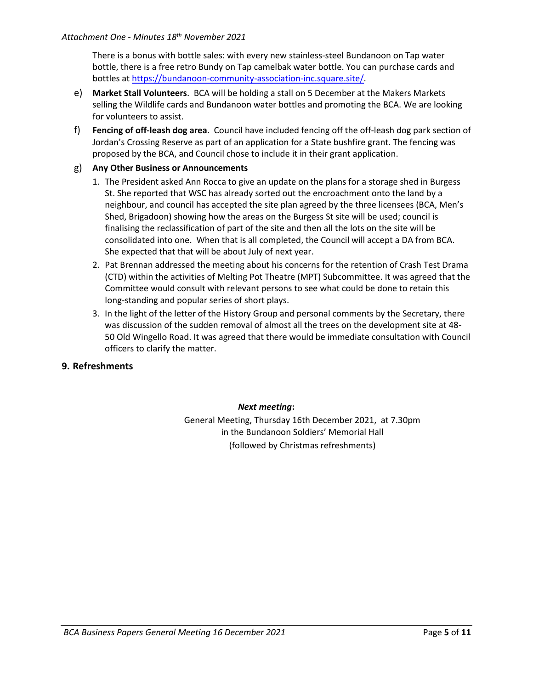# *Attachment One - Minutes 18 th November 2021*

There is a bonus with bottle sales: with every new stainless-steel Bundanoon on Tap water bottle, there is a free retro Bundy on Tap camelbak water bottle. You can purchase cards and bottles a[t https://bundanoon-community-association-inc.square.site/.](https://bundanoon-community-association-inc.square.site/)

- e) **Market Stall Volunteers**. BCA will be holding a stall on 5 December at the Makers Markets selling the Wildlife cards and Bundanoon water bottles and promoting the BCA. We are looking for volunteers to assist.
- f) **Fencing of off-leash dog area**. Council have included fencing off the off-leash dog park section of Jordan's Crossing Reserve as part of an application for a State bushfire grant. The fencing was proposed by the BCA, and Council chose to include it in their grant application.

# g) **Any Other Business or Announcements**

- 1. The President asked Ann Rocca to give an update on the plans for a storage shed in Burgess St. She reported that WSC has already sorted out the encroachment onto the land by a neighbour, and council has accepted the site plan agreed by the three licensees (BCA, Men's Shed, Brigadoon) showing how the areas on the Burgess St site will be used; council is finalising the reclassification of part of the site and then all the lots on the site will be consolidated into one. When that is all completed, the Council will accept a DA from BCA. She expected that that will be about July of next year.
- 2. Pat Brennan addressed the meeting about his concerns for the retention of Crash Test Drama (CTD) within the activities of Melting Pot Theatre (MPT) Subcommittee. It was agreed that the Committee would consult with relevant persons to see what could be done to retain this long-standing and popular series of short plays.
- 3. In the light of the letter of the History Group and personal comments by the Secretary, there was discussion of the sudden removal of almost all the trees on the development site at 48- 50 Old Wingello Road. It was agreed that there would be immediate consultation with Council officers to clarify the matter.

## **9. Refreshments**

# *Next meeting***:**

General Meeting, Thursday 16th December 2021, at 7.30pm in the Bundanoon Soldiers' Memorial Hall (followed by Christmas refreshments)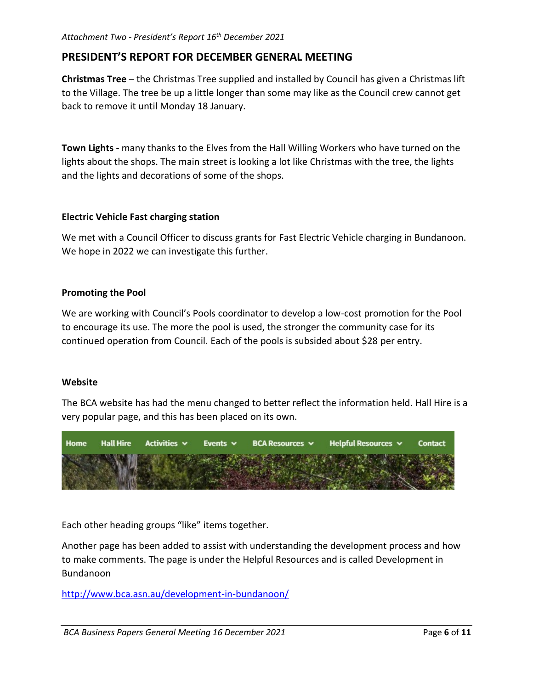# **PRESIDENT'S REPORT FOR DECEMBER GENERAL MEETING**

**Christmas Tree** – the Christmas Tree supplied and installed by Council has given a Christmas lift to the Village. The tree be up a little longer than some may like as the Council crew cannot get back to remove it until Monday 18 January.

**Town Lights -** many thanks to the Elves from the Hall Willing Workers who have turned on the lights about the shops. The main street is looking a lot like Christmas with the tree, the lights and the lights and decorations of some of the shops.

# **Electric Vehicle Fast charging station**

We met with a Council Officer to discuss grants for Fast Electric Vehicle charging in Bundanoon. We hope in 2022 we can investigate this further.

# **Promoting the Pool**

We are working with Council's Pools coordinator to develop a low-cost promotion for the Pool to encourage its use. The more the pool is used, the stronger the community case for its continued operation from Council. Each of the pools is subsided about \$28 per entry.

# **Website**

The BCA website has had the menu changed to better reflect the information held. Hall Hire is a very popular page, and this has been placed on its own.



Each other heading groups "like" items together.

Another page has been added to assist with understanding the development process and how to make comments. The page is under the Helpful Resources and is called Development in Bundanoon

<http://www.bca.asn.au/development-in-bundanoon/>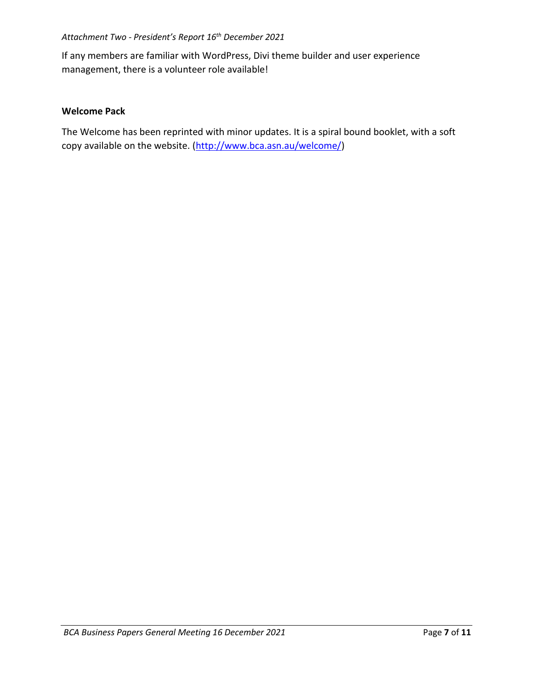# *Attachment Two - President's Report 16 th December 2021*

If any members are familiar with WordPress, Divi theme builder and user experience management, there is a volunteer role available!

# **Welcome Pack**

The Welcome has been reprinted with minor updates. It is a spiral bound booklet, with a soft copy available on the website. [\(http://www.bca.asn.au/welcome/\)](http://www.bca.asn.au/welcome/)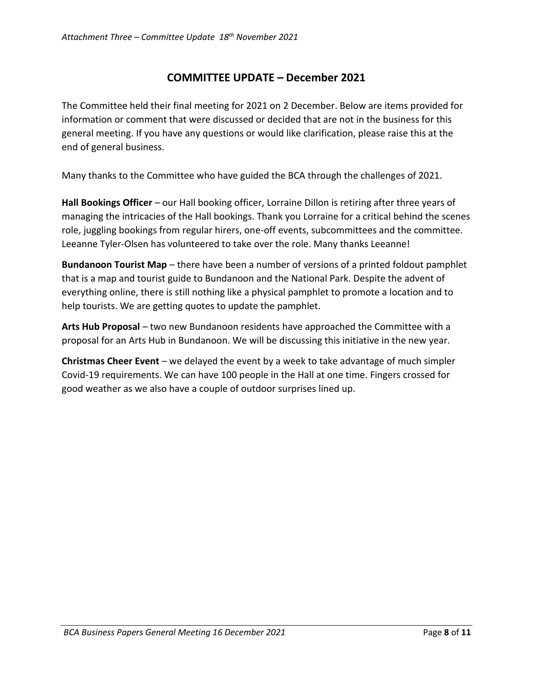# **COMMITTEE UPDATE – December 2021**

The Committee held their final meeting for 2021 on 2 December. Below are items provided for information or comment that were discussed or decided that are not in the business for this general meeting. If you have any questions or would like clarification, please raise this at the end of general business.

Many thanks to the Committee who have guided the BCA through the challenges of 2021.

**Hall Bookings Officer** – our Hall booking officer, Lorraine Dillon is retiring after three years of managing the intricacies of the Hall bookings. Thank you Lorraine for a critical behind the scenes role, juggling bookings from regular hirers, one-off events, subcommittees and the committee. Leeanne Tyler-Olsen has volunteered to take over the role. Many thanks Leeanne!

**Bundanoon Tourist Map** – there have been a number of versions of a printed foldout pamphlet that is a map and tourist guide to Bundanoon and the National Park. Despite the advent of everything online, there is still nothing like a physical pamphlet to promote a location and to help tourists. We are getting quotes to update the pamphlet.

**Arts Hub Proposal** – two new Bundanoon residents have approached the Committee with a proposal for an Arts Hub in Bundanoon. We will be discussing this initiative in the new year.

**Christmas Cheer Event** – we delayed the event by a week to take advantage of much simpler Covid-19 requirements. We can have 100 people in the Hall at one time. Fingers crossed for good weather as we also have a couple of outdoor surprises lined up.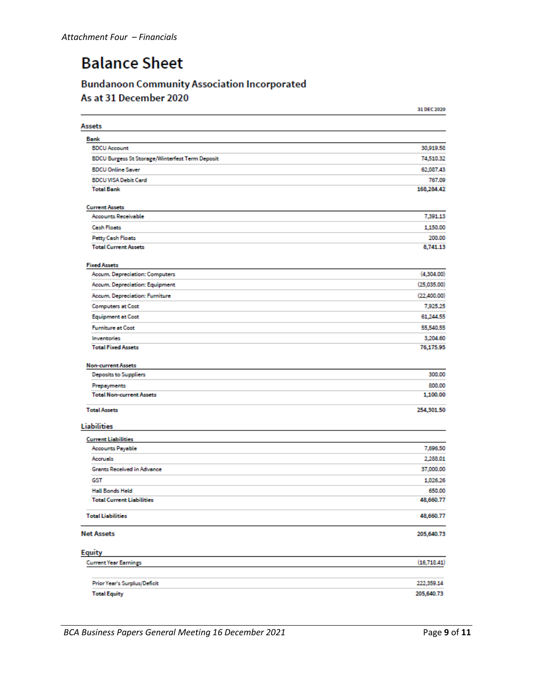# **Balance Sheet**

# **Bundanoon Community Association Incorporated** As at 31 December 2020

|                                                        | 31 DEC 2020 |
|--------------------------------------------------------|-------------|
| Assets                                                 |             |
| Bank                                                   |             |
| <b>BDCU Account</b>                                    | 30,919.58   |
| <b>BDCU Burgess St Storage/Winterfest Term Deposit</b> | 74,510.32   |
| <b>BDCU Online Saver</b>                               | 62,087.43   |
| <b>BDCU VISA Debit Card</b>                            | 767.09      |
| <b>Total Bank</b>                                      | 168,284.42  |
| <b>Current Assets</b>                                  |             |
| <b>Accounts Receivable</b>                             | 7,391.13    |
| <b>Cash Floats</b>                                     | 1,150.00    |
| Petty Cash Floats                                      | 200.00      |
| <b>Total Current Assets</b>                            | 8,741.13    |
| <b>Fixed Assets</b>                                    |             |
| Accum. Depreciation: Computers                         | (4,304.00)  |
| Accum. Depreciation: Equipment                         | (25,035.00) |
| Accum. Depreciation: Furniture                         | (22,400.00) |
| <b>Computers at Cost</b>                               | 7,925.25    |
| <b>Equipment at Cost</b>                               | 61,244.55   |
| <b>Furniture at Cost</b>                               | 55,540.55   |
| Inventories                                            | 3,204.60    |
| <b>Total Fixed Assets</b>                              | 76,175.95   |
| <b>Non-current Assets</b>                              |             |
| <b>Deposits to Suppliers</b>                           | 300.00      |
| Prepayments                                            | 800.00      |
| <b>Total Non-current Assets</b>                        | 1,100.00    |
| <b>Total Assets</b>                                    | 254,301.50  |
| <b>Liabilities</b>                                     |             |
| <b>Current Liabilities</b>                             |             |
| <b>Accounts Payable</b>                                | 7,696.50    |
| Accruels                                               | 2,288.01    |
| Grants Received in Advance                             | 37,000.00   |
| GST                                                    | 1,026.26    |
| <b>Hall Bonds Held</b>                                 | 650.00      |
| <b>Total Current Liabilities</b>                       | 48,660.77   |
| <b>Total Liabilities</b>                               | 48,660.77   |
| <b>Net Assets</b>                                      | 205,640.73  |
| <b>Equity</b>                                          |             |
| <b>Current Year Earnings</b>                           | (16,718.41) |
| Prior Year's Surplus/Deficit                           | 222,359.14  |
| <b>Total Equity</b>                                    | 205,640.73  |
|                                                        |             |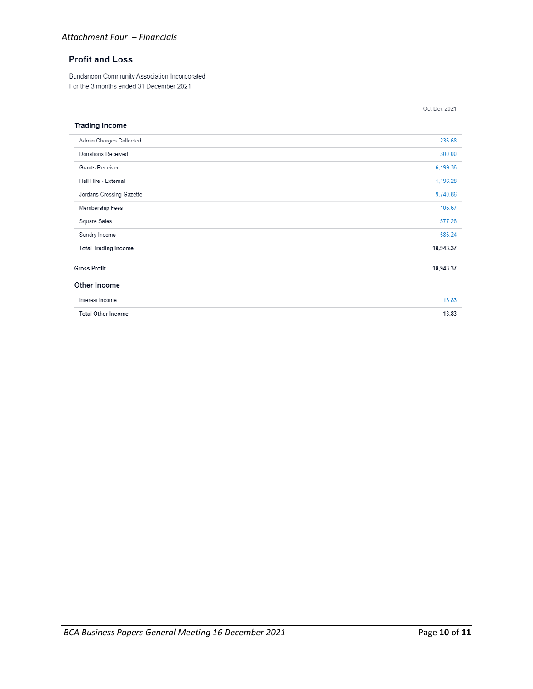#### *Attachment Four – Financials*

# **Profit and Loss**

Bundanoon Community Association Incorporated For the 3 months ended 31 December 2021

|                             | Oct-Dec 2021 |
|-----------------------------|--------------|
| <b>Trading Income</b>       |              |
| Admin Charges Collected     | 236.68       |
| Donations Received          | 300.00       |
| Grants Received             | 6,199.36     |
| Hall Hire - External        | 1,196.28     |
| Jordans Crossing Gazette    | 9,740.86     |
| Membership Fees             | 106.67       |
| Square Sales                | 577.28       |
| Sundry Income               | 586.24       |
| <b>Total Trading Income</b> | 18,943.37    |
| <b>Gross Profit</b>         | 18,943.37    |
| Other Income                |              |
| Interest Income             | 13.83        |
| <b>Total Other Income</b>   | 13.83        |